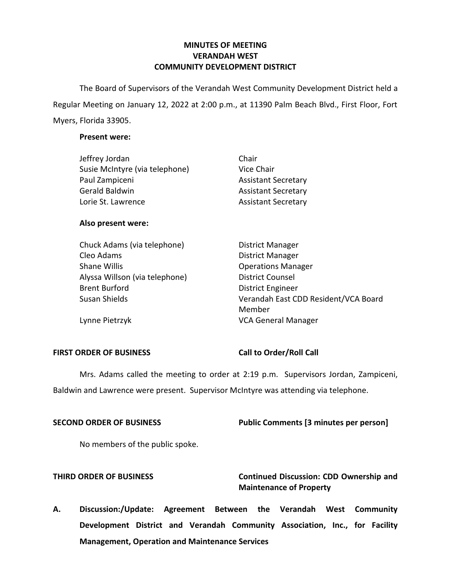# **MINUTES OF MEETING VERANDAH WEST COMMUNITY DEVELOPMENT DISTRICT**

 The Board of Supervisors of the Verandah West Community Development District held a Regular Meeting on January 12, 2022 at 2:00 p.m., at 11390 Palm Beach Blvd., First Floor, Fort Myers, Florida 33905.

### **Present were:**

| Jeffrey Jordan                 | Chair                      |
|--------------------------------|----------------------------|
| Susie McIntyre (via telephone) | Vice Chair                 |
| Paul Zampiceni                 | <b>Assistant Secretary</b> |
| Gerald Baldwin                 | <b>Assistant Secretary</b> |
| Lorie St. Lawrence             | <b>Assistant Secretary</b> |

### **Also present were:**

| Chuck Adams (via telephone)    |
|--------------------------------|
| Cleo Adams                     |
| <b>Shane Willis</b>            |
| Alyssa Willson (via telephone) |
| <b>Brent Burford</b>           |
| Susan Shields                  |
|                                |

District Manager District Manager **Operations Manager** District Counsel **District Engineer** Verandah East CDD Resident/VCA Board Member Lynne Pietrzyk VCA General Manager

FIRST ORDER OF BUSINESS Call to Order/Roll Call

 Mrs. Adams called the meeting to order at 2:19 p.m. Supervisors Jordan, Zampiceni, Baldwin and Lawrence were present. Supervisor McIntyre was attending via telephone.

| <b>SECOND ORDER OF BUSINESS</b> | <b>Public Comments [3 minutes per person]</b> |
|---------------------------------|-----------------------------------------------|
|                                 |                                               |

No members of the public spoke.

 **THIRD ORDER OF BUSINESS Continued Discussion: CDD Ownership and Maintenance of Property** 

 **A. Discussion:/Update: Agreement Between the Verandah West Community Development District and Verandah Community Association, Inc., for Facility Management, Operation and Maintenance Services**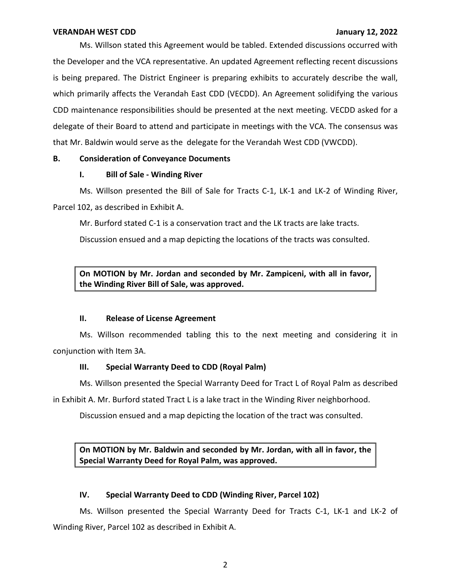#### **VERANDAH WEST CDD**

#### **January 12, 2022**

Ms. Willson stated this Agreement would be tabled. Extended discussions occurred with the Developer and the VCA representative. An updated Agreement reflecting recent discussions is being prepared. The District Engineer is preparing exhibits to accurately describe the wall, which primarily affects the Verandah East CDD (VECDD). An Agreement solidifying the various CDD maintenance responsibilities should be presented at the next meeting. VECDD asked for a delegate of their Board to attend and participate in meetings with the VCA. The consensus was that Mr. Baldwin would serve as the delegate for the Verandah West CDD (VWCDD).

# **B. Consideration of Conveyance Documents**

### **I. Bill of Sale - Winding River**

Ms. Willson presented the Bill of Sale for Tracts C-1, LK-1 and LK-2 of Winding River, Parcel 102, as described in Exhibit A.

Mr. Burford stated C-1 is a conservation tract and the LK tracts are lake tracts.

Discussion ensued and a map depicting the locations of the tracts was consulted.

 **On MOTION by Mr. Jordan and seconded by Mr. Zampiceni, with all in favor, the Winding River Bill of Sale, was approved.** 

### **II. Release of License Agreement**

Ms. Willson recommended tabling this to the next meeting and considering it in conjunction with Item 3A.

#### **III. Special Warranty Deed to CDD (Royal Palm)**

Ms. Willson presented the Special Warranty Deed for Tract L of Royal Palm as described

in Exhibit A. Mr. Burford stated Tract L is a lake tract in the Winding River neighborhood.

Discussion ensued and a map depicting the location of the tract was consulted.

 **On MOTION by Mr. Baldwin and seconded by Mr. Jordan, with all in favor, the Special Warranty Deed for Royal Palm, was approved.** 

#### **IV. Special Warranty Deed to CDD (Winding River, Parcel 102)**

Ms. Willson presented the Special Warranty Deed for Tracts C-1, LK-1 and LK-2 of Winding River, Parcel 102 as described in Exhibit A.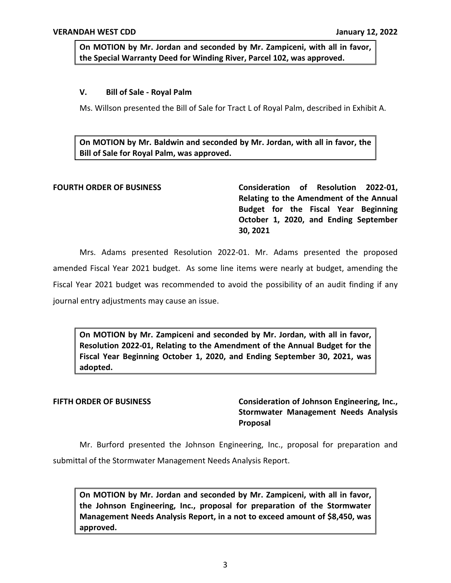**On MOTION by Mr. Jordan and seconded by Mr. Zampiceni, with all in favor, the Special Warranty Deed for Winding River, Parcel 102, was approved.** 

### **V. Bill of Sale - Royal Palm**

Ms. Willson presented the Bill of Sale for Tract L of Royal Palm, described in Exhibit A.

 **On MOTION by Mr. Baldwin and seconded by Mr. Jordan, with all in favor, the Bill of Sale for Royal Palm, was approved.** 

 **Relating to the Amendment of the Annual Budget for the Fiscal Year Beginning October 1, 2020, and Ending September FOURTH ORDER OF BUSINESS Consideration of Resolution 2022-01, 30, 2021** 

Mrs. Adams presented Resolution 2022-01. Mr. Adams presented the proposed amended Fiscal Year 2021 budget. As some line items were nearly at budget, amending the Fiscal Year 2021 budget was recommended to avoid the possibility of an audit finding if any journal entry adjustments may cause an issue.

 **On MOTION by Mr. Zampiceni and seconded by Mr. Jordan, with all in favor, Resolution 2022-01, Relating to the Amendment of the Annual Budget for the Fiscal Year Beginning October 1, 2020, and Ending September 30, 2021, was adopted.** 

FIFTH ORDER OF BUSINESS **Consideration of Johnson Engineering, Inc., Stormwater Management Needs Analysis Proposal** 

 submittal of the Stormwater Management Needs Analysis Report. Mr. Burford presented the Johnson Engineering, Inc., proposal for preparation and

 **On MOTION by Mr. Jordan and seconded by Mr. Zampiceni, with all in favor, Management Needs Analysis Report, in a not to exceed amount of \$8,450, was the Johnson Engineering, Inc., proposal for preparation of the Stormwater approved.**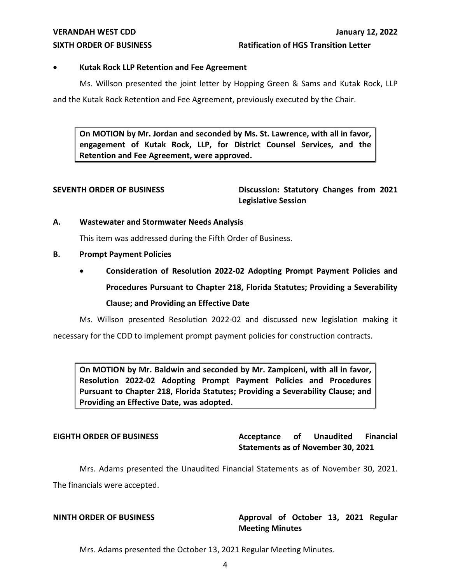# **VERANDAH WEST CDD**

# **SIXTH ORDER OF BUSINESS Ratification of HGS Transition Letter**

# • **Kutak Rock LLP Retention and Fee Agreement**

Ms. Willson presented the joint letter by Hopping Green & Sams and Kutak Rock, LLP

and the Kutak Rock Retention and Fee Agreement, previously executed by the Chair.

 **On MOTION by Mr. Jordan and seconded by Ms. St. Lawrence, with all in favor, engagement of Kutak Rock, LLP, for District Counsel Services, and the Retention and Fee Agreement, were approved.** 

SEVENTH ORDER OF BUSINESS Discussion: Statutory Changes from 2021 **Legislative Session** 

### **A. Wastewater and Stormwater Needs Analysis**

This item was addressed during the Fifth Order of Business.

- **B. Prompt Payment Policies** 
	- **Consideration of Resolution 2022-02 Adopting Prompt Payment Policies and Procedures Pursuant to Chapter 218, Florida Statutes; Providing a Severability Clause; and Providing an Effective Date**

Ms. Willson presented Resolution 2022-02 and discussed new legislation making it

necessary for the CDD to implement prompt payment policies for construction contracts.

 **On MOTION by Mr. Baldwin and seconded by Mr. Zampiceni, with all in favor, Resolution 2022-02 Adopting Prompt Payment Policies and Procedures Pursuant to Chapter 218, Florida Statutes; Providing a Severability Clause; and Providing an Effective Date, was adopted.** 

#### **Acceptance Statements as of November 30, 2021 EIGHTH ORDER OF BUSINESS Acceptance of Unaudited Financial**

Mrs. Adams presented the Unaudited Financial Statements as of November 30, 2021. The financials were accepted.

# **NINTH ORDER OF BUSINESS Approval of October 13, 2021 Regular Meeting Minutes**

Mrs. Adams presented the October 13, 2021 Regular Meeting Minutes.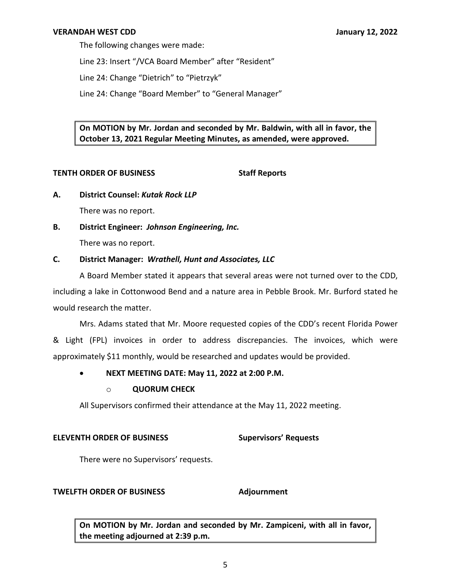The following changes were made:

Line 23: Insert "/VCA Board Member" after "Resident"

Line 24: Change "Dietrich" to "Pietrzyk"

Line 24: Change "Board Member" to "General Manager"

 **On MOTION by Mr. Jordan and seconded by Mr. Baldwin, with all in favor, the October 13, 2021 Regular Meeting Minutes, as amended, were approved.** 

### **TENTH ORDER OF BUSINESS** Staff Reports

**A. District Counsel:** *Kutak Rock LLP* 

There was no report.

**B. District Engineer:** *Johnson Engineering, Inc.* 

There was no report.

# **C. District Manager:** *Wrathell, Hunt and Associates, LLC*

A Board Member stated it appears that several areas were not turned over to the CDD, including a lake in Cottonwood Bend and a nature area in Pebble Brook. Mr. Burford stated he would research the matter.

Mrs. Adams stated that Mr. Moore requested copies of the CDD's recent Florida Power & Light (FPL) invoices in order to address discrepancies. The invoices, which were approximately \$11 monthly, would be researched and updates would be provided.

# • **NEXT MEETING DATE: May 11, 2022 at 2:00 P.M.**

# o **QUORUM CHECK**

All Supervisors confirmed their attendance at the May 11, 2022 meeting.

# **ELEVENTH ORDER OF BUSINESS Supervisors' Requests**

There were no Supervisors' requests.

# **TWELFTH ORDER OF BUSINESS Adjournment**

 **On MOTION by Mr. Jordan and seconded by Mr. Zampiceni, with all in favor, the meeting adjourned at 2:39 p.m.**